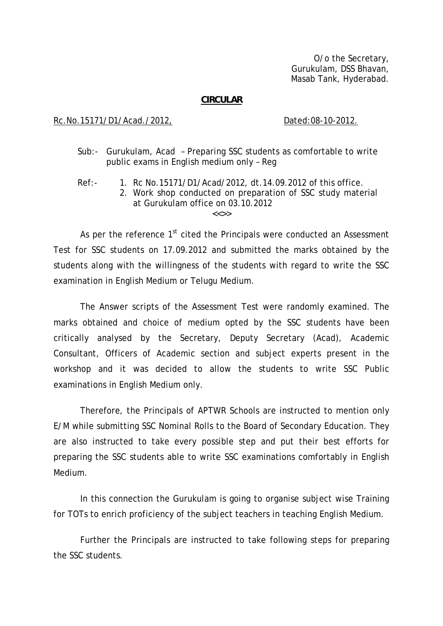O/o the Secretary, Gurukulam, DSS Bhavan, Masab Tank, Hyderabad.

## **CIRCULAR**

## Rc.No.15171/D1/Acad./2012, Dated:08-10-2012.

- Sub:- Gurukulam, Acad Preparing SSC students as comfortable to write public exams in English medium only – Reg
- Ref:- 1. Rc No.15171/D1/Acad/2012, dt.14.09.2012 of this office. 2. Work shop conducted on preparation of SSC study material at Gurukulam office on 03.10.2012

 $\epsilon$ 

As per the reference  $1<sup>st</sup>$  cited the Principals were conducted an Assessment Test for SSC students on 17.09.2012 and submitted the marks obtained by the students along with the willingness of the students with regard to write the SSC examination in English Medium or Telugu Medium.

 The Answer scripts of the Assessment Test were randomly examined. The marks obtained and choice of medium opted by the SSC students have been critically analysed by the Secretary, Deputy Secretary (Acad), Academic Consultant, Officers of Academic section and subject experts present in the workshop and it was decided to allow the students to write SSC Public examinations in English Medium only.

 Therefore, the Principals of APTWR Schools are instructed to mention only E/M while submitting SSC Nominal Rolls to the Board of Secondary Education. They are also instructed to take every possible step and put their best efforts for preparing the SSC students able to write SSC examinations comfortably in English Medium.

 In this connection the Gurukulam is going to organise subject wise Training for TOTs to enrich proficiency of the subject teachers in teaching English Medium.

Further the Principals are instructed to take following steps for preparing the SSC students.